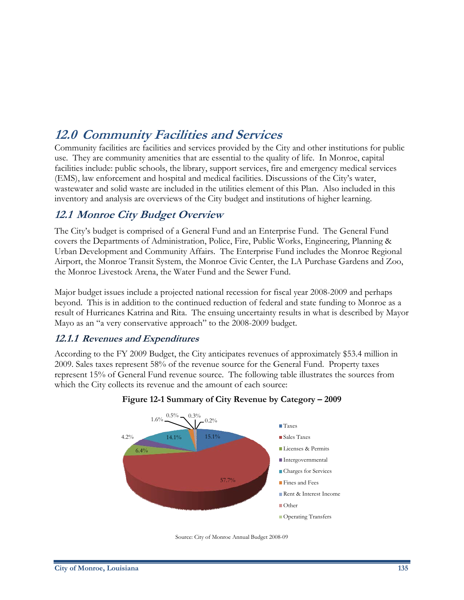# **12.0 Community Facilities and Services**

Community facilities are facilities and services provided by the City and other institutions for public use. They are community amenities that are essential to the quality of life. In Monroe, capital facilities include: public schools, the library, support services, fire and emergency medical services (EMS), law enforcement and hospital and medical facilities. Discussions of the City's water, wastewater and solid waste are included in the utilities element of this Plan. Also included in this inventory and analysis are overviews of the City budget and institutions of higher learning.

## **12.1 Monroe City Budget Overview**

The City's budget is comprised of a General Fund and an Enterprise Fund. The General Fund covers the Departments of Administration, Police, Fire, Public Works, Engineering, Planning & Urban Development and Community Affairs. The Enterprise Fund includes the Monroe Regional Airport, the Monroe Transit System, the Monroe Civic Center, the LA Purchase Gardens and Zoo, the Monroe Livestock Arena, the Water Fund and the Sewer Fund.

Major budget issues include a projected national recession for fiscal year 2008-2009 and perhaps beyond. This is in addition to the continued reduction of federal and state funding to Monroe as a result of Hurricanes Katrina and Rita. The ensuing uncertainty results in what is described by Mayor Mayo as an "a very conservative approach" to the 2008-2009 budget.

### **12.1.1 Revenues and Expenditures**

According to the FY 2009 Budget, the City anticipates revenues of approximately \$53.4 million in 2009. Sales taxes represent 58% of the revenue source for the General Fund. Property taxes represent 15% of General Fund revenue source. The following table illustrates the sources from which the City collects its revenue and the amount of each source:



#### **Figure 12-1 Summary of City Revenue by Category – 2009**

Source: City of Monroe Annual Budget 2008-09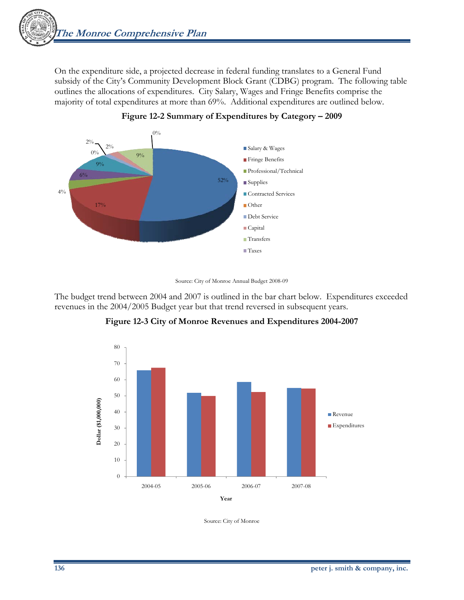On the expenditure side, a projected decrease in federal funding translates to a General Fund subsidy of the City's Community Development Block Grant (CDBG) program. The following table outlines the allocations of expenditures. City Salary, Wages and Fringe Benefits comprise the majority of total expenditures at more than 69%. Additional expenditures are outlined below.





The budget trend between 2004 and 2007 is outlined in the bar chart below. Expenditures exceeded revenues in the 2004/2005 Budget year but that trend reversed in subsequent years.



**Figure 12-3 City of Monroe Revenues and Expenditures 2004-2007** 

Source: City of Monroe

Source: City of Monroe Annual Budget 2008-09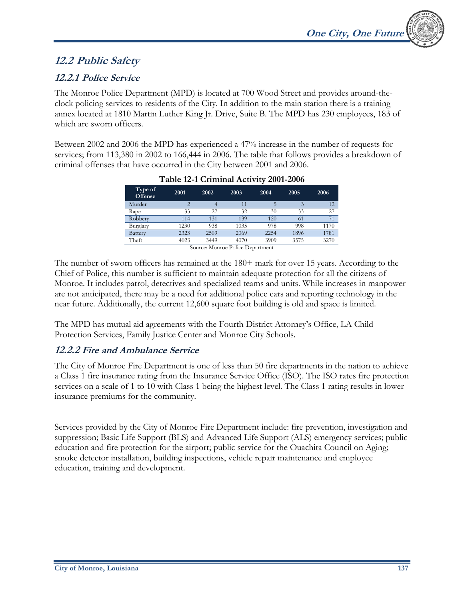## **12.2 Public Safety**

## **12.2.1 Police Service**

The Monroe Police Department (MPD) is located at 700 Wood Street and provides around-theclock policing services to residents of the City. In addition to the main station there is a training annex located at 1810 Martin Luther King Jr. Drive, Suite B. The MPD has 230 employees, 183 of which are sworn officers.

Between 2002 and 2006 the MPD has experienced a 47% increase in the number of requests for services; from 113,380 in 2002 to 166,444 in 2006. The table that follows provides a breakdown of criminal offenses that have occurred in the City between 2001 and 2006.

| Type of<br><b>Offense</b>        | 2001           | 2002 | 2003 | 2004 | 2005 | 2006 |
|----------------------------------|----------------|------|------|------|------|------|
| Murder                           | $\overline{2}$ |      | 11   |      |      | 12   |
| Rape                             | 33             | 27   | 32   | 30   | 33   | 27   |
| Robbery                          | 114            | 131  | 139  | 120  | 61   | 71   |
| Burglary                         | 1230           | 938  | 1035 | 978  | 998  | 1170 |
| Battery                          | 2323           | 2509 | 2069 | 2254 | 1896 | 1781 |
| Theft                            | 4023           | 3449 | 4070 | 3909 | 3575 | 3270 |
| Source: Monroe Police Department |                |      |      |      |      |      |

#### **Table 12-1 Criminal Activity 2001-2006**

The number of sworn officers has remained at the 180+ mark for over 15 years. According to the Chief of Police, this number is sufficient to maintain adequate protection for all the citizens of Monroe. It includes patrol, detectives and specialized teams and units. While increases in manpower are not anticipated, there may be a need for additional police cars and reporting technology in the near future. Additionally, the current 12,600 square foot building is old and space is limited.

The MPD has mutual aid agreements with the Fourth District Attorney's Office, LA Child Protection Services, Family Justice Center and Monroe City Schools.

### **12.2.2 Fire and Ambulance Service**

The City of Monroe Fire Department is one of less than 50 fire departments in the nation to achieve a Class 1 fire insurance rating from the Insurance Service Office (ISO). The ISO rates fire protection services on a scale of 1 to 10 with Class 1 being the highest level. The Class 1 rating results in lower insurance premiums for the community.

Services provided by the City of Monroe Fire Department include: fire prevention, investigation and suppression; Basic Life Support (BLS) and Advanced Life Support (ALS) emergency services; public education and fire protection for the airport; public service for the Ouachita Council on Aging; smoke detector installation, building inspections, vehicle repair maintenance and employee education, training and development.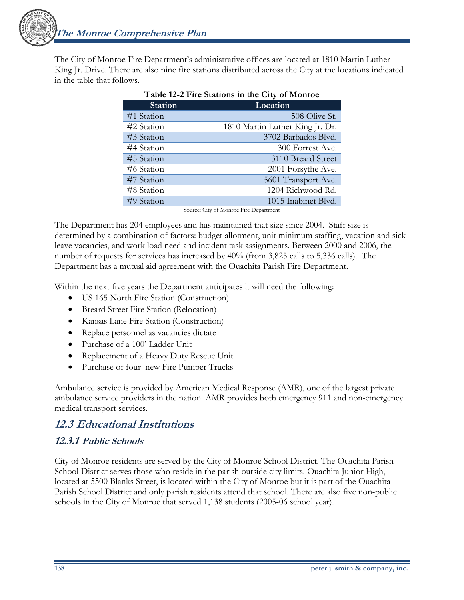**The Monroe Comprehensive Plan** 

The City of Monroe Fire Department's administrative offices are located at 1810 Martin Luther King Jr. Drive. There are also nine fire stations distributed across the City at the locations indicated in the table that follows.

| <b>Station</b> | Location                        |
|----------------|---------------------------------|
| #1 Station     | 508 Olive St.                   |
| #2 Station     | 1810 Martin Luther King Jr. Dr. |
| #3 Station     | 3702 Barbados Blvd.             |
| #4 Station     | 300 Forrest Ave.                |
| #5 Station     | 3110 Breard Street              |
| #6 Station     | 2001 Forsythe Ave.              |
| #7 Station     | 5601 Transport Ave.             |
| #8 Station     | 1204 Richwood Rd.               |
| #9 Station     | 1015 Inabinet Blvd.             |

|--|

Source: City of Monroe Fire Department

The Department has 204 employees and has maintained that size since 2004. Staff size is determined by a combination of factors: budget allotment, unit minimum staffing, vacation and sick leave vacancies, and work load need and incident task assignments. Between 2000 and 2006, the number of requests for services has increased by 40% (from 3,825 calls to 5,336 calls). The Department has a mutual aid agreement with the Ouachita Parish Fire Department.

Within the next five years the Department anticipates it will need the following:

- US 165 North Fire Station (Construction)
- Breard Street Fire Station (Relocation)
- Kansas Lane Fire Station (Construction)
- Replace personnel as vacancies dictate
- Purchase of a 100' Ladder Unit
- Replacement of a Heavy Duty Rescue Unit
- Purchase of four new Fire Pumper Trucks

Ambulance service is provided by American Medical Response (AMR), one of the largest private ambulance service providers in the nation. AMR provides both emergency 911 and non-emergency medical transport services.

## **12.3 Educational Institutions**

## **12.3.1 Public Schools**

City of Monroe residents are served by the City of Monroe School District. The Ouachita Parish School District serves those who reside in the parish outside city limits. Ouachita Junior High, located at 5500 Blanks Street, is located within the City of Monroe but it is part of the Ouachita Parish School District and only parish residents attend that school. There are also five non-public schools in the City of Monroe that served 1,138 students (2005-06 school year).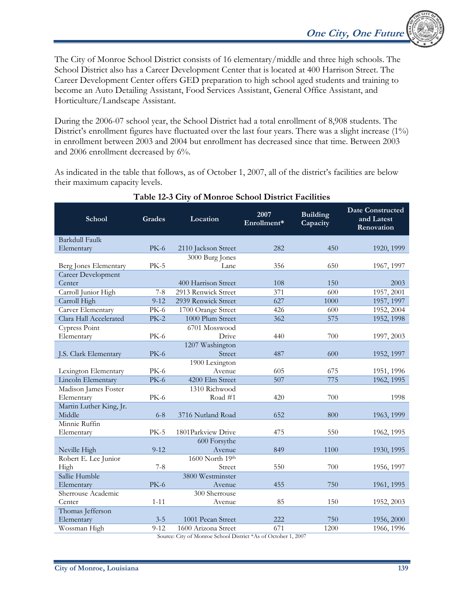The City of Monroe School District consists of 16 elementary/middle and three high schools. The School District also has a Career Development Center that is located at 400 Harrison Street. The Career Development Center offers GED preparation to high school aged students and training to become an Auto Detailing Assistant, Food Services Assistant, General Office Assistant, and Horticulture/Landscape Assistant.

During the 2006-07 school year, the School District had a total enrollment of 8,908 students. The District's enrollment figures have fluctuated over the last four years. There was a slight increase (1%) in enrollment between 2003 and 2004 but enrollment has decreased since that time. Between 2003 and 2006 enrollment decreased by 6%.

As indicated in the table that follows, as of October 1, 2007, all of the district's facilities are below their maximum capacity levels.

| School                  | Grades           | Location                                                               | 2007<br>Enrollment* | <b>Building</b><br>Capacity | <b>Date Constructed</b><br>and Latest<br>Renovation |
|-------------------------|------------------|------------------------------------------------------------------------|---------------------|-----------------------------|-----------------------------------------------------|
| <b>Barkdull Faulk</b>   |                  |                                                                        |                     |                             |                                                     |
| Elementary              | $PK-6$           | 2110 Jackson Street                                                    | 282                 | 450                         | 1920, 1999                                          |
|                         |                  | 3000 Burg Jones                                                        |                     |                             |                                                     |
| Berg Jones Elementary   | <b>PK-5</b>      | Lane                                                                   | 356                 | 650                         | 1967, 1997                                          |
| Career Development      |                  |                                                                        |                     |                             |                                                     |
| Center                  |                  | 400 Harrison Street                                                    | 108                 | 150                         | 2003                                                |
| Carroll Junior High     | $7 - 8$          | 2913 Renwick Street                                                    | 371                 | 600                         | 1957, 2001                                          |
| Carroll High            | $9 - 12$         | 2939 Renwick Street                                                    | 627                 | 1000                        | 1957, 1997                                          |
| Carver Elementary       | <b>PK-6</b>      | 1700 Orange Street                                                     | 426                 | 600                         | 1952, 2004                                          |
| Clara Hall Accelerated  | $PK-2$           | 1000 Plum Street                                                       | 362                 | 575                         | 1952, 1998                                          |
| Cypress Point           |                  | 6701 Mosswood                                                          |                     |                             |                                                     |
| Elementary              | PK-6             | Drive                                                                  | 440                 | 700                         | 1997, 2003                                          |
|                         |                  | 1207 Washington                                                        |                     |                             |                                                     |
| J.S. Clark Elementary   | <b>PK-6</b>      | Street                                                                 | 487                 | 600                         | 1952, 1997                                          |
|                         |                  | 1900 Lexington                                                         |                     |                             |                                                     |
| Lexington Elementary    | <b>PK-6</b>      | Avenue                                                                 | 605                 | 675                         | 1951, 1996                                          |
| Lincoln Elementary      | <b>PK-6</b>      | 4200 Elm Street                                                        | 507                 | 775                         | 1962, 1995                                          |
| Madison James Foster    |                  | 1310 Richwood                                                          |                     |                             |                                                     |
| Elementary              | <b>PK-6</b>      | Road #1                                                                | 420                 | 700                         | 1998                                                |
| Martin Luther King, Jr. |                  |                                                                        |                     |                             |                                                     |
| Middle                  | $6 - 8$          | 3716 Nutland Road                                                      | 652                 | 800                         | 1963, 1999                                          |
| Minnie Ruffin           |                  |                                                                        |                     |                             |                                                     |
| Elementary              | $PK-5$           | 1801Parkview Drive                                                     | 475                 | 550                         | 1962, 1995                                          |
|                         |                  | 600 Forsythe                                                           |                     |                             |                                                     |
| Neville High            | $9 - 12$         | Avenue<br>1600 North 19th                                              | 849                 | 1100                        | 1930, 1995                                          |
| Robert E. Lee Junior    |                  | Street                                                                 | 550                 | 700                         |                                                     |
| High<br>Sallie Humble   | $7 - 8$          | 3800 Westminster                                                       |                     |                             | 1956, 1997                                          |
| Elementary              | <b>PK-6</b>      | Avenue                                                                 | 455                 | 750                         |                                                     |
| Sherrouse Academic      |                  | 300 Sherrouse                                                          |                     |                             | 1961, 1995                                          |
| Center                  | $1 - 11$         | Avenue                                                                 | 85                  | 150                         | 1952, 2003                                          |
| Thomas Jefferson        |                  |                                                                        |                     |                             |                                                     |
| Elementary              | $3 - 5$          | 1001 Pecan Street                                                      | 222                 | 750                         | 1956, 2000                                          |
| Wossman High            | $9 - 12$         | 1600 Arizona Street                                                    | 671                 | 1200                        | 1966, 1996                                          |
|                         | $C_{\text{max}}$ | $C_{\text{triv}}$ of Maguae Salacel District $*$ As of Ostober 1, 2007 |                     |                             |                                                     |

#### **Table 12-3 City of Monroe School District Facilities**

Source: City of Monroe School District \*As of October 1, 2007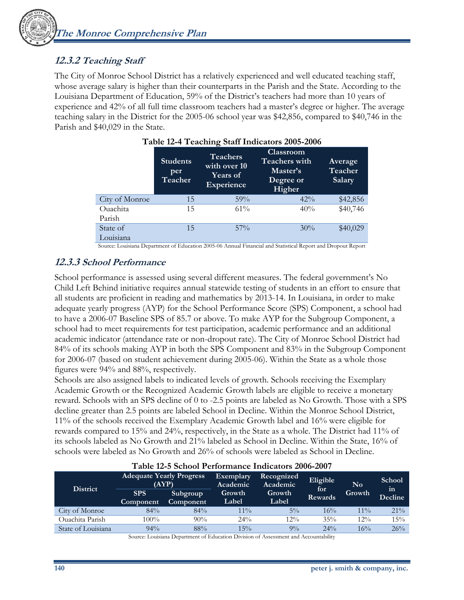## **12.3.2 Teaching Staff**

The City of Monroe School District has a relatively experienced and well educated teaching staff, whose average salary is higher than their counterparts in the Parish and the State. According to the Louisiana Department of Education, 59% of the District's teachers had more than 10 years of experience and 42% of all full time classroom teachers had a master's degree or higher. The average teaching salary in the District for the 2005-06 school year was \$42,856, compared to \$40,746 in the Parish and \$40,029 in the State.

|                | <b>Students</b><br>per<br>Teacher | <b>Teachers</b><br>with over 10<br><b>Years of</b><br>Experience | $14000$ $12$ $12000$ $1000$ $1000$ $1000$ $1000$<br><b>Classroom</b><br><b>Teachers with</b><br>Master's<br>Degree or<br>Higher | Average<br>Teacher<br>Salary |
|----------------|-----------------------------------|------------------------------------------------------------------|---------------------------------------------------------------------------------------------------------------------------------|------------------------------|
| City of Monroe | 15                                | 59%                                                              | $42\%$                                                                                                                          | \$42,856                     |
| Ouachita       | 15                                | $61\%$                                                           | 40%                                                                                                                             | \$40,746                     |
| Parish         |                                   |                                                                  |                                                                                                                                 |                              |
| State of       | 15                                | $57\%$                                                           | 30%                                                                                                                             | \$40,029                     |
| Louisiana      |                                   |                                                                  |                                                                                                                                 |                              |

|  |  | Table 12-4 Teaching Staff Indicators 2005-2006 |  |
|--|--|------------------------------------------------|--|
|  |  |                                                |  |

Source: Louisiana Department of Education 2005-06 Annual Financial and Statistical Report and Dropout Report

### **12.3.3 School Performance**

School performance is assessed using several different measures. The federal government's No Child Left Behind initiative requires annual statewide testing of students in an effort to ensure that all students are proficient in reading and mathematics by 2013-14. In Louisiana, in order to make adequate yearly progress (AYP) for the School Performance Score (SPS) Component, a school had to have a 2006-07 Baseline SPS of 85.7 or above. To make AYP for the Subgroup Component, a school had to meet requirements for test participation, academic performance and an additional academic indicator (attendance rate or non-dropout rate). The City of Monroe School District had 84% of its schools making AYP in both the SPS Component and 83% in the Subgroup Component for 2006-07 (based on student achievement during 2005-06). Within the State as a whole those figures were 94% and 88%, respectively.

Schools are also assigned labels to indicated levels of growth. Schools receiving the Exemplary Academic Growth or the Recognized Academic Growth labels are eligible to receive a monetary reward. Schools with an SPS decline of 0 to -2.5 points are labeled as No Growth. Those with a SPS decline greater than 2.5 points are labeled School in Decline. Within the Monroe School District, 11% of the schools received the Exemplary Academic Growth label and 16% were eligible for rewards compared to 15% and 24%, respectively, in the State as a whole. The District had 11% of its schools labeled as No Growth and 21% labeled as School in Decline. Within the State, 16% of schools were labeled as No Growth and 26% of schools were labeled as School in Decline.

|                    | Table 12-3 School Feriormance mulcators 2000-2007 |                 |                       |                        |                       |          |                         |  |
|--------------------|---------------------------------------------------|-----------------|-----------------------|------------------------|-----------------------|----------|-------------------------|--|
| <b>District</b>    | <b>Adequate Yearly Progress</b><br>(AYP)          |                 | Exemplary<br>Academic | Recognized<br>Academic |                       | $\bf No$ | <b>School</b>           |  |
|                    | <b>SPS</b>                                        | <b>Subgroup</b> | Growth                | Growth                 | for<br><b>Rewards</b> | Growth   | $\mathbf{m}$<br>Decline |  |
|                    | <b>Component</b>                                  | Component       | Label                 | Label                  |                       |          |                         |  |
| City of Monroe     | 84%                                               | 84%             | $11\%$                | $5\%$                  | 16%                   | $11\%$   | $21\%$                  |  |
| Ouachita Parish    | 100%                                              | 90%             | 24%                   | $12\%$                 | 35%                   | $12\%$   | 15%                     |  |
| State of Louisiana | $94\%$                                            | 88%             | $15\%$                | $9\%$                  | $24\%$                | 16%      | 26%                     |  |

#### **Table 12-5 School Performance Indicators 2006-2007**

Source: Louisiana Department of Education Division of Assessment and Accountability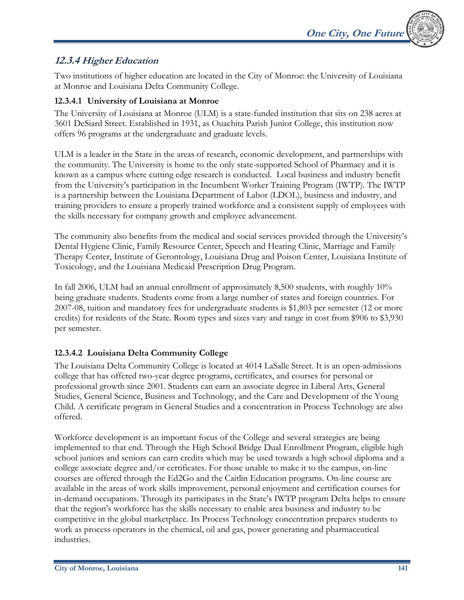### **12.3.4 Higher Education**

Two institutions of higher education are located in the City of Monroe: the University of Louisiana at Monroe and Louisiana Delta Community College.

#### **12.3.4.1 University of Louisiana at Monroe**

The University of Louisiana at Monroe (ULM) is a state-funded institution that sits on 238 acres at 3601 DeSiard Street. Established in 1931, as Ouachita Parish Junior College, this institution now offers 96 programs at the undergraduate and graduate levels.

ULM is a leader in the State in the areas of research, economic development, and partnerships with the community. The University is home to the only state-supported School of Pharmacy and it is known as a campus where cutting edge research is conducted. Local business and industry benefit from the University's participation in the Incumbent Worker Training Program (IWTP). The IWTP is a partnership between the Louisiana Department of Labor (LDOL), business and industry, and training providers to ensure a properly trained workforce and a consistent supply of employees with the skills necessary for company growth and employee advancement.

The community also benefits from the medical and social services provided through the University's Dental Hygiene Clinic, Family Resource Center, Speech and Hearing Clinic, Marriage and Family Therapy Center, Institute of Gerontology, Louisiana Drug and Poison Center, Louisiana Institute of Toxicology, and the Louisiana Medicaid Prescription Drug Program.

In fall 2006, ULM had an annual enrollment of approximately 8,500 students, with roughly 10% being graduate students. Students come from a large number of states and foreign countries. For 2007-08, tuition and mandatory fees for undergraduate students is \$1,803 per semester (12 or more credits) for residents of the State. Room types and sizes vary and range in cost from \$906 to \$3,930 per semester.

### **12.3.4.2 Louisiana Delta Community College**

The Louisiana Delta Community College is located at 4014 LaSalle Street. It is an open-admissions college that has offered two-year degree programs, certificates, and courses for personal or professional growth since 2001. Students can earn an associate degree in Liberal Arts, General Studies, General Science, Business and Technology, and the Care and Development of the Young Child. A certificate program in General Studies and a concentration in Process Technology are also offered.

Workforce development is an important focus of the College and several strategies are being implemented to that end. Through the High School Bridge Dual Enrollment Program, eligible high school juniors and seniors can earn credits which may be used towards a high school diploma and a college associate degree and/or certificates. For those unable to make it to the campus, on-line courses are offered through the Ed2Go and the Caitlin Education programs. On-line course are available in the areas of work skills improvement, personal enjoyment and certification courses for in-demand occupations. Through its participates in the State's IWTP program Delta helps to ensure that the region's workforce has the skills necessary to enable area business and industry to be competitive in the global marketplace. Its Process Technology concentration prepares students to work as process operators in the chemical, oil and gas, power generating and pharmaceutical industries.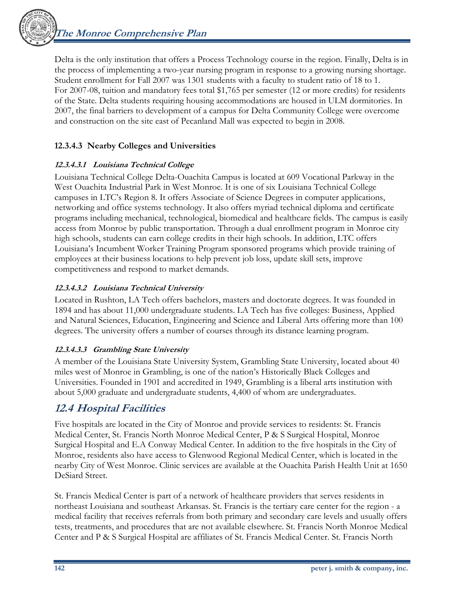**The Monroe Comprehensive Plan** 

Delta is the only institution that offers a Process Technology course in the region. Finally, Delta is in the process of implementing a two-year nursing program in response to a growing nursing shortage. Student enrollment for Fall 2007 was 1301 students with a faculty to student ratio of 18 to 1. For 2007-08, tuition and mandatory fees total \$1,765 per semester (12 or more credits) for residents of the State. Delta students requiring housing accommodations are housed in ULM dormitories. In 2007, the final barriers to development of a campus for Delta Community College were overcome and construction on the site east of Pecanland Mall was expected to begin in 2008.

### **12.3.4.3 Nearby Colleges and Universities**

### **12.3.4.3.1 Louisiana Technical College**

Louisiana Technical College Delta-Ouachita Campus is located at 609 Vocational Parkway in the West Ouachita Industrial Park in West Monroe. It is one of six Louisiana Technical College campuses in LTC's Region 8. It offers Associate of Science Degrees in computer applications, networking and office systems technology. It also offers myriad technical diploma and certificate programs including mechanical, technological, biomedical and healthcare fields. The campus is easily access from Monroe by public transportation. Through a dual enrollment program in Monroe city high schools, students can earn college credits in their high schools. In addition, LTC offers Louisiana's Incumbent Worker Training Program sponsored programs which provide training of employees at their business locations to help prevent job loss, update skill sets, improve competitiveness and respond to market demands.

### **12.3.4.3.2 Louisiana Technical University**

Located in Rushton, LA Tech offers bachelors, masters and doctorate degrees. It was founded in 1894 and has about 11,000 undergraduate students. LA Tech has five colleges: Business, Applied and Natural Sciences, Education, Engineering and Science and Liberal Arts offering more than 100 degrees. The university offers a number of courses through its distance learning program.

#### **12.3.4.3.3 Grambling State University**

A member of the Louisiana State University System, Grambling State University, located about 40 miles west of Monroe in Grambling, is one of the nation's Historically Black Colleges and Universities. Founded in 1901 and accredited in 1949, Grambling is a liberal arts institution with about 5,000 graduate and undergraduate students, 4,400 of whom are undergraduates.

## **12.4 Hospital Facilities**

Five hospitals are located in the City of Monroe and provide services to residents: St. Francis Medical Center, St. Francis North Monroe Medical Center, P & S Surgical Hospital, Monroe Surgical Hospital and E.A Conway Medical Center. In addition to the five hospitals in the City of Monroe, residents also have access to Glenwood Regional Medical Center, which is located in the nearby City of West Monroe. Clinic services are available at the Ouachita Parish Health Unit at 1650 DeSiard Street.

St. Francis Medical Center is part of a network of healthcare providers that serves residents in northeast Louisiana and southeast Arkansas. St. Francis is the tertiary care center for the region - a medical facility that receives referrals from both primary and secondary care levels and usually offers tests, treatments, and procedures that are not available elsewhere. St. Francis North Monroe Medical Center and P & S Surgical Hospital are affiliates of St. Francis Medical Center. St. Francis North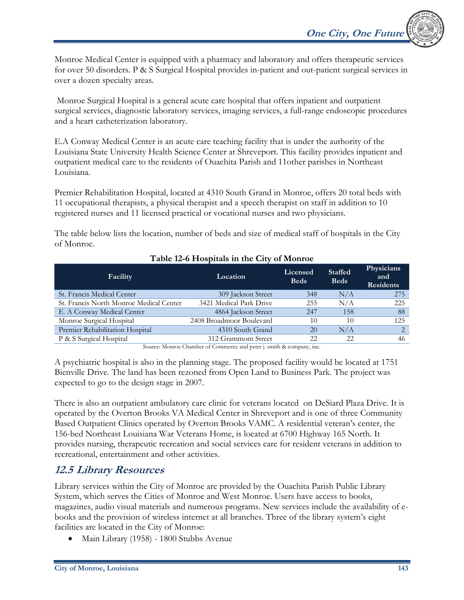**One City, One Future** 

Monroe Medical Center is equipped with a pharmacy and laboratory and offers therapeutic services for over 50 disorders. P & S Surgical Hospital provides in-patient and out-patient surgical services in over a dozen specialty areas.

 Monroe Surgical Hospital is a general acute care hospital that offers inpatient and outpatient surgical services, diagnostic laboratory services, imaging services, a full-range endoscopic procedures and a heart catheterization laboratory.

E.A Conway Medical Center is an acute care teaching facility that is under the authority of the Louisiana State University Health Science Center at Shreveport. This facility provides inpatient and outpatient medical care to the residents of Ouachita Parish and 11other parishes in Northeast Louisiana.

Premier Rehabilitation Hospital, located at 4310 South Grand in Monroe, offers 20 total beds with 11 occupational therapists, a physical therapist and a speech therapist on staff in addition to 10 registered nurses and 11 licensed practical or vocational nurses and two physicians.

The table below lists the location, number of beds and size of medical staff of hospitals in the City of Monroe.

| Facility                                | Location                 | Licensed<br><b>Beds</b> | <b>Staffed</b><br><b>Beds</b> | Physicians<br>and<br><b>Residents</b> |
|-----------------------------------------|--------------------------|-------------------------|-------------------------------|---------------------------------------|
| St. Francis Medical Center              | 309 Jackson Street       | 348                     | N/A                           | 275                                   |
| St. Francis North Monroe Medical Center | 3421 Medical Park Drive  | 255                     | N/A                           | 225                                   |
| E. A Conway Medical Center              | 4864 Jackson Street      | 247                     | 158                           | 88                                    |
| Monroe Surgical Hospital                | 2408 Broadmoor Boulevard | 10                      | 10                            | 125                                   |
| Premier Rehabilitation Hospital         | 4310 South Grand         | 20                      | N/A                           | $\mathcal{D}$                         |
| P & S Surgical Hospital                 | 312 Grammont Street      | 22                      | 22                            | 46                                    |
|                                         |                          |                         |                               |                                       |

#### **Table 12-6 Hospitals in the City of Monroe**

Source: Monroe Chamber of Commerce and peter j. smith & company, inc.

A psychiatric hospital is also in the planning stage. The proposed facility would be located at 1751 Bienville Drive. The land has been rezoned from Open Land to Business Park. The project was expected to go to the design stage in 2007.

There is also an outpatient ambulatory care clinic for veterans located on DeSiard Plaza Drive. It is operated by the Overton Brooks VA Medical Center in Shreveport and is one of three Community Based Outpatient Clinics operated by Overton Brooks VAMC. A residential veteran's center, the 156-bed Northeast Louisiana War Veterans Home, is located at 6700 Highway 165 North. It provides nursing, therapeutic recreation and social services care for resident veterans in addition to recreational, entertainment and other activities.

## **12.5 Library Resources**

Library services within the City of Monroe are provided by the Ouachita Parish Public Library System, which serves the Cities of Monroe and West Monroe. Users have access to books, magazines, audio visual materials and numerous programs. New services include the availability of ebooks and the provision of wireless internet at all branches. Three of the library system's eight facilities are located in the City of Monroe:

• Main Library (1958) - 1800 Stubbs Avenue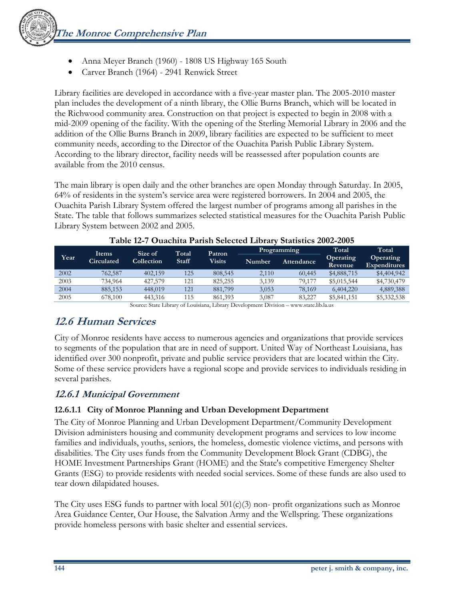- Anna Meyer Branch (1960) 1808 US Highway 165 South
- Carver Branch (1964) 2941 Renwick Street

Library facilities are developed in accordance with a five-year master plan. The 2005-2010 master plan includes the development of a ninth library, the Ollie Burns Branch, which will be located in the Richwood community area. Construction on that project is expected to begin in 2008 with a mid-2009 opening of the facility. With the opening of the Sterling Memorial Library in 2006 and the addition of the Ollie Burns Branch in 2009, library facilities are expected to be sufficient to meet community needs, according to the Director of the Ouachita Parish Public Library System. According to the library director, facility needs will be reassessed after population counts are available from the 2010 census.

The main library is open daily and the other branches are open Monday through Saturday. In 2005, 64% of residents in the system's service area were registered borrowers. In 2004 and 2005, the Ouachita Parish Library System offered the largest number of programs among all parishes in the State. The table that follows summarizes selected statistical measures for the Ouachita Parish Public Library System between 2002 and 2005.

|      |                                   | Size of                               | Total         | Patron        |                      | Programming | Total                | Total                            |
|------|-----------------------------------|---------------------------------------|---------------|---------------|----------------------|-------------|----------------------|----------------------------------|
| Year | <b>Items</b><br><b>Circulated</b> | Collection                            | <b>Staff</b>  | <b>Visits</b> | Number               | Attendance  | Operating<br>Revenue | Operating<br><b>Expenditures</b> |
| 2002 | 762.587                           | 402.159                               | 125           | 808,545       | 2.110                | 60,445      | \$4,888,715          | \$4,404,942                      |
| 2003 | 734.964                           | 427,579                               | 121           | 825.255       | 3.139                | 79.177      | \$5,015,544          | \$4,730,479                      |
| 2004 | 885,153                           | 448,019                               | 121           | 881,799       | 3.053                | 78.169      | 6,404,220            | 4,889,388                        |
| 2005 | 678,100                           | 443,316                               | 115           | 861,393       | 3.087                | 83,227      | \$5,841,151          | \$5,332,538                      |
|      |                                   | $\sim$ $\sim$ $\sim$ $\sim$<br>$\sim$ | $\sim$ $\sim$ | $\sim$        | $\sim$ $\sim$ $\sim$ |             |                      |                                  |

|  |  | Table 12-7 Ouachita Parish Selected Library Statistics 2002-2005 |  |
|--|--|------------------------------------------------------------------|--|
|--|--|------------------------------------------------------------------|--|

Source: State Library of Louisiana, Library Development Division – www.state.lib.la.us

## **12.6 Human Services**

City of Monroe residents have access to numerous agencies and organizations that provide services to segments of the population that are in need of support. United Way of Northeast Louisiana, has identified over 300 nonprofit, private and public service providers that are located within the City. Some of these service providers have a regional scope and provide services to individuals residing in several parishes.

### **12.6.1 Municipal Government**

#### **12.6.1.1 City of Monroe Planning and Urban Development Department**

The City of Monroe Planning and Urban Development Department/Community Development Division administers housing and community development programs and services to low income families and individuals, youths, seniors, the homeless, domestic violence victims, and persons with disabilities. The City uses funds from the Community Development Block Grant (CDBG), the HOME Investment Partnerships Grant (HOME) and the State's competitive Emergency Shelter Grants (ESG) to provide residents with needed social services. Some of these funds are also used to tear down dilapidated houses.

The City uses ESG funds to partner with local  $501(c)(3)$  non-profit organizations such as Monroe Area Guidance Center, Our House, the Salvation Army and the Wellspring. These organizations provide homeless persons with basic shelter and essential services.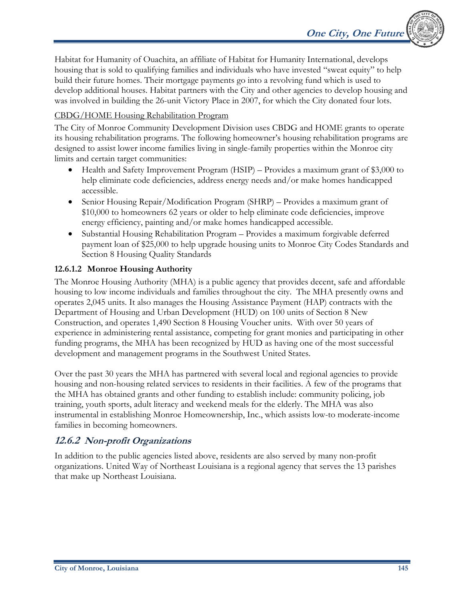Habitat for Humanity of Ouachita, an affiliate of Habitat for Humanity International, develops housing that is sold to qualifying families and individuals who have invested "sweat equity" to help build their future homes. Their mortgage payments go into a revolving fund which is used to develop additional houses. Habitat partners with the City and other agencies to develop housing and was involved in building the 26-unit Victory Place in 2007, for which the City donated four lots.

#### CBDG/HOME Housing Rehabilitation Program

The City of Monroe Community Development Division uses CBDG and HOME grants to operate its housing rehabilitation programs. The following homeowner's housing rehabilitation programs are designed to assist lower income families living in single-family properties within the Monroe city limits and certain target communities:

- Health and Safety Improvement Program (HSIP) Provides a maximum grant of \$3,000 to help eliminate code deficiencies, address energy needs and/or make homes handicapped accessible.
- Senior Housing Repair/Modification Program (SHRP) Provides a maximum grant of \$10,000 to homeowners 62 years or older to help eliminate code deficiencies, improve energy efficiency, painting and/or make homes handicapped accessible.
- Substantial Housing Rehabilitation Program Provides a maximum forgivable deferred payment loan of \$25,000 to help upgrade housing units to Monroe City Codes Standards and Section 8 Housing Quality Standards

#### **12.6.1.2 Monroe Housing Authority**

The Monroe Housing Authority (MHA) is a public agency that provides decent, safe and affordable housing to low income individuals and families throughout the city. The MHA presently owns and operates 2,045 units. It also manages the Housing Assistance Payment (HAP) contracts with the Department of Housing and Urban Development (HUD) on 100 units of Section 8 New Construction, and operates 1,490 Section 8 Housing Voucher units. With over 50 years of experience in administering rental assistance, competing for grant monies and participating in other funding programs, the MHA has been recognized by HUD as having one of the most successful development and management programs in the Southwest United States.

Over the past 30 years the MHA has partnered with several local and regional agencies to provide housing and non-housing related services to residents in their facilities. A few of the programs that the MHA has obtained grants and other funding to establish include: community policing, job training, youth sports, adult literacy and weekend meals for the elderly. The MHA was also instrumental in establishing Monroe Homeownership, Inc., which assists low-to moderate-income families in becoming homeowners.

### **12.6.2 Non-profit Organizations**

In addition to the public agencies listed above, residents are also served by many non-profit organizations. United Way of Northeast Louisiana is a regional agency that serves the 13 parishes that make up Northeast Louisiana.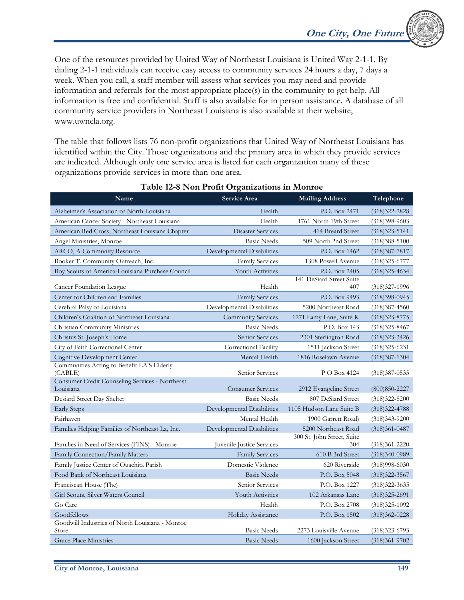One of the resources provided by United Way of Northeast Louisiana is United Way 2-1-1. By dialing 2-1-1 individuals can receive easy access to community services 24 hours a day, 7 days a week. When you call, a staff member will assess what services you may need and provide information and referrals for the most appropriate place(s) in the community to get help. All information is free and confidential. Staff is also available for in person assistance. A database of all community service providers in Northeast Louisiana is also available at their website, www.uwnela.org.

The table that follows lists 76 non-profit organizations that United Way of Northeast Louisiana has identified within the City. Those organizations and the primary area in which they provide services are indicated. Although only one service area is listed for each organization many of these organizations provide services in more than one area.

| Name                                                   | Service Area               | <b>Mailing Address</b>                       | Telephone                              |
|--------------------------------------------------------|----------------------------|----------------------------------------------|----------------------------------------|
| Alzheimer's Association of North Louisiana             | Health                     | P.O. Box 2471                                | $(318)322 - 2828$                      |
| American Cancer Society - Northeast Louisiana          | Health                     | 1761 North 19th Street                       | (318)398-9603                          |
| American Red Cross, Northeast Louisiana Chapter        | <b>Disaster Services</b>   | 414 Breard Street                            | $(318)323 - 5141$                      |
| Angel Ministries, Monroe                               | <b>Basic Needs</b>         | 509 North 2nd Street                         | $(318)388 - 5100$                      |
| ARCO, A Community Resource                             | Developmental Disabilities | P.O. Box 1462                                | $(318)387 - 7817$                      |
| Booker T. Community Outreach, Inc.                     | <b>Family Services</b>     | 1308 Powell Avenue                           | $(318)325 - 6777$                      |
| Boy Scouts of America-Louisiana Purchase Council       | Youth Activities           | P.O. Box 2405                                | $(318)325 - 4634$                      |
| Cancer Foundation League                               | Health                     | 141 DeSiard Street Suite<br>407              | $(318)327 - 1996$                      |
| Center for Children and Families                       | <b>Family Services</b>     | P.O. Box 9493                                | $(318)398-0945$                        |
| Cerebral Palsy of Louisiana                            | Developmental Disabilities | 5200 Northeast Road                          | $(318)387 - 4560$                      |
| Children's Coalition of Northeast Louisiana            | <b>Community Services</b>  | 1271 Lamy Lane, Suite K                      | $(318)323 - 8775$                      |
| Christian Community Ministries                         | <b>Basic Needs</b>         | P.O. Box 143                                 | $(318)325 - 8467$                      |
| Christus St. Joseph's Home                             | Senior Services            | 2301 Sterlington Road                        | $(318)323 - 3426$                      |
| City of Faith Correctional Center                      | Correctional Facility      | 1511 Jackson Street                          | $(318)325 - 6231$                      |
| Cognitive Development Center                           | Mental Health              | 1816 Roselawn Avenue                         | $(318)387 - 1304$                      |
| Communities Acting to Benefit LA'S Elderly<br>(CABLE)  | Senior Services            | P O Box 4124                                 | $(318)387 - 0535$                      |
| <b>Consumer Credit Counseling Services - Northeast</b> | <b>Consumer Services</b>   |                                              |                                        |
| Louisiana<br>Desiard Street Day Shelter                | <b>Basic Needs</b>         | 2912 Evangeline Street<br>807 DeSiard Street | $(800)850 - 2227$                      |
| <b>Early Steps</b>                                     | Developmental Disabilities | 1105 Hudson Lane Suite B                     | $(318)322 - 8200$                      |
| Fairhaven                                              | Mental Health              | 1900 Garrett Road)                           | $(318)322 - 4788$<br>$(318)343 - 9200$ |
| Families Helping Families of Northeast La, Inc.        | Developmental Disabilities | 5200 Northeast Road                          | $(318)361 - 0487$                      |
| Families in Need of Services (FINS) - Monroe           | Juvenile Justice Services  | 300 St. John Street, Suite<br>304            | $(318)361 - 2220$                      |
| Family Connection/Family Matters                       | <b>Family Services</b>     | 610 B 3rd Street                             | $(318)340-0989$                        |
| Family Justice Center of Ouachita Parish               | Domestic Violence          | 620 Riverside                                | $(318)998 - 6030$                      |
| Food Bank of Northeast Louisiana                       | <b>Basic Needs</b>         | P.O. Box 5048                                | $(318)322 - 3567$                      |
| Franciscan House (The)                                 | Senior Services            | P.O. Box 1227                                | $(318)322 - 3635$                      |
| Girl Scouts, Silver Waters Council                     | Youth Activities           | 102 Arkansas Lane                            | $(318)325 - 2691$                      |
| Go Care                                                | Health                     | P.O. Box 2708                                | $(318)325-1092$                        |
| Goodfellows                                            | Holiday Assistance         | P.O. Box 1502                                | $(318)362 - 0228$                      |
| Goodwill Industries of North Louisiana - Monroe        |                            |                                              |                                        |
| Store                                                  | <b>Basic Needs</b>         | 2273 Louisville Avenue                       | $(318)323 - 6793$                      |
| <b>Grace Place Ministries</b>                          | <b>Basic Needs</b>         | 1600 Jackson Street                          | $(318)361 - 9702$                      |

#### **Table 12-8 Non Profit Organizations in Monroe**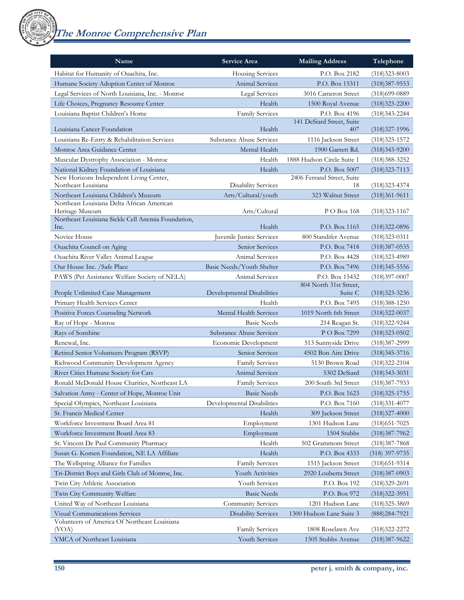**The Monroe Comprehensive Plan** 

| Name                                                                               | Service Area               | <b>Mailing Address</b>                      | Telephone         |
|------------------------------------------------------------------------------------|----------------------------|---------------------------------------------|-------------------|
| Habitat for Humanity of Ouachita, Inc.                                             | Housing Services           | P.O. Box 2182                               | $(318)323 - 8003$ |
| Humane Society Adoption Center of Monroe                                           | Animal Services            | P.O. Box 15311                              | $(318)387 - 9553$ |
| Legal Services of North Louisiana, Inc. - Monroe                                   | Legal Services             | 3016 Cameron Street                         | $(318)699-0889$   |
| Life Choices, Pregnancy Resource Center                                            | Health                     | 1500 Royal Avenue                           | $(318)323 - 2200$ |
| Louisiana Baptist Children's Home                                                  | <b>Family Services</b>     | P.O. Box 4196                               | $(318)343 - 2244$ |
|                                                                                    |                            | 141 DeSiard Street, Suite                   |                   |
| Louisiana Cancer Foundation                                                        | Health                     | 407                                         | $(318)327-1996$   |
| Louisiana Re-Entry & Rehabilitation Services                                       | Substance Abuse Services   | 1116 Jackson Street                         | $(318)325 - 1572$ |
| Monroe Area Guidance Center                                                        | Mental Health              | 1900 Garrett Rd.                            | $(318)343 - 9200$ |
| Muscular Dystrophy Association - Monroe                                            | Health                     | 1888 Hudson Circle Suite 1                  | $(318)388 - 3252$ |
| National Kidney Foundation of Louisiana<br>New Horizons Independent Living Center, | Health                     | P.O. Box 5007<br>2406 Ferrand Street, Suite | $(318)323 - 7113$ |
| Northeast Louisiana                                                                | <b>Disability Services</b> | 18                                          | $(318)323 - 4374$ |
| Northeast Louisiana Children's Museum                                              | Arts/Cultural/youth        | 323 Walnut Street                           | $(318)361 - 9611$ |
| Northeast Louisiana Delta African American                                         |                            |                                             |                   |
| Heritage Museum                                                                    | Arts/Cultural              | P O Box 168                                 | $(318)323 - 1167$ |
| Northeast Louisiana Sickle Cell Anemia Foundation,<br>Inc.                         | Health                     | P.O. Box 1165                               | $(318)322 - 0896$ |
| Novice House                                                                       | Juvenile Justice Services  | 800 Standifer Avenue                        | $(318)323 - 0311$ |
| Ouachita Council on Aging                                                          | Senior Services            | P.O. Box 7418                               | $(318)387 - 0535$ |
| Ouachita River Valley Animal League                                                | Animal Services            | P.O. Box 4428                               | $(318)323 - 4989$ |
| Our House Inc. /Safe Place                                                         | Basic Needs/Youth Shelter  | P.O. Box 7496                               | (318) 345 - 5556  |
| PAWS (Pet Assistance Welfare Society of NELA)                                      | Animal Services            | P.O. Box 15432                              | $(318)397 - 0007$ |
|                                                                                    |                            | 804 North 31st Street,                      |                   |
| People Unlimited Case Management                                                   | Developmental Disabilities | Suite C                                     | $(318)323 - 3236$ |
| Primary Health Services Center                                                     | Health                     | P.O. Box 7495                               | $(318)388 - 1250$ |
| Positive Forces Counseling Network                                                 | Mental Health Services     | 1019 North 6th Street                       | $(318)322 - 0037$ |
| Ray of Hope - Monroe                                                               | <b>Basic Needs</b>         | 214 Reagan St.                              | $(318)322 - 9244$ |
| Rays of Sonshine                                                                   | Substance Abuse Services   | P O Box 7299                                | $(318)323 - 0502$ |
| Renewal, Inc.                                                                      | Economic Development       | 513 Sunnyside Drive                         | $(318)387 - 2999$ |
| Retired Senior Volunteers Program (RSVP)                                           | Senior Services            | 4502 Bon Aire Drive                         | $(318)345 - 3716$ |
| Richwood Community Development Agency                                              | <b>Family Services</b>     | 5130 Brown Road                             | $(318)322 - 2104$ |
| River Cities Humane Society for Cats                                               | <b>Animal Services</b>     | 5302 DeSiard                                | $(318)343 - 3031$ |
| Ronald McDonald House Charities, Northeast LA                                      | <b>Family Services</b>     | 200 South 3rd Street                        | $(318)387 - 7933$ |
| Salvation Army - Center of Hope, Monroe Unit                                       | <b>Basic Needs</b>         | P.O. Box 1623                               | $(318)325 - 1755$ |
| Special Olympics, Northeast Louisiana                                              | Developmental Disabilities | P.O. Box 7160                               | $(318)331 - 4077$ |
| St. Francis Medical Center                                                         | Health                     | 309 Jackson Street                          | $(318)327 - 4000$ |
| Workforce Investment Board Area 81                                                 | Employment                 | 1301 Hudson Lane                            | $(318)$ 651-7025  |
| Workforce Investment Board Area 83                                                 | Employment                 | 1504 Stubbs                                 | $(318)387 - 7962$ |
| St. Vincent De Paul Community Pharmacy                                             | Health                     | 502 Grammont Street                         | $(318)387 - 7868$ |
| Susan G. Komen Foundation, NE LA Affiliate                                         | Health                     | P.O. Box 4333                               | $(318)$ 397-9735  |
| The Wellspring Alliance for Families                                               | <b>Family Services</b>     | 1515 Jackson Street                         | $(318)$ 651-9314  |
| Tri-District Boys and Girls Club of Monroe, Inc.                                   | Youth Activities           | 2920 Louberta Street                        | $(318)387 - 0903$ |
| Twin City Athletic Association                                                     | Youth Services             | P.O. Box 192                                | (318)329-2691     |
| Twin City Community Welfare                                                        | <b>Basic Needs</b>         | P.O. Box 972                                | (318)322-3951     |
| United Way of Northeast Louisiana                                                  | Community Services         | 1201 Hudson Lane                            | (318) 325-3869    |
| Visual Communications Services                                                     | <b>Disability Services</b> | 1300 Hudson Lane Suite 3                    | (888) 284-7921    |
| Volunteers of America Of Northeast Louisiana<br>(VOA)                              | <b>Family Services</b>     | 1808 Roselawn Ave                           | (318) 322-2272    |
| YMCA of Northeast Louisiana                                                        | Youth Services             | 1505 Stubbs Avenue                          | $(318)387 - 9622$ |